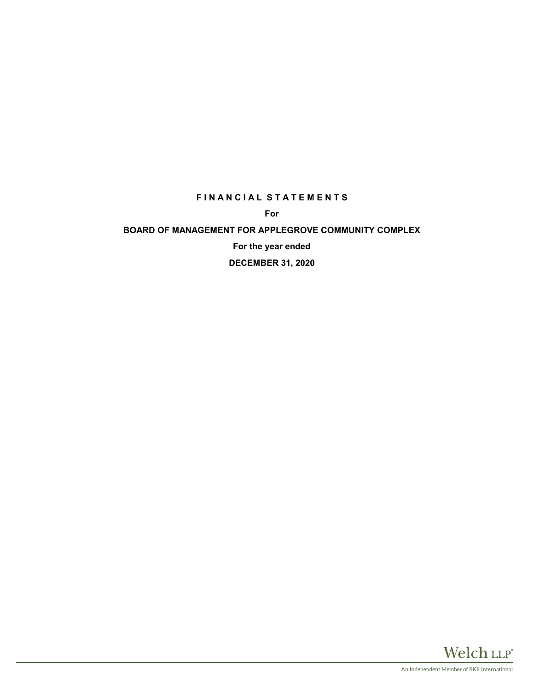# **F I N A N C I A L S T A T E M E N T S**

**For**

# **BOARD OF MANAGEMENT FOR APPLEGROVE COMMUNITY COMPLEX**

**For the year ended**

**DECEMBER 31, 2020**

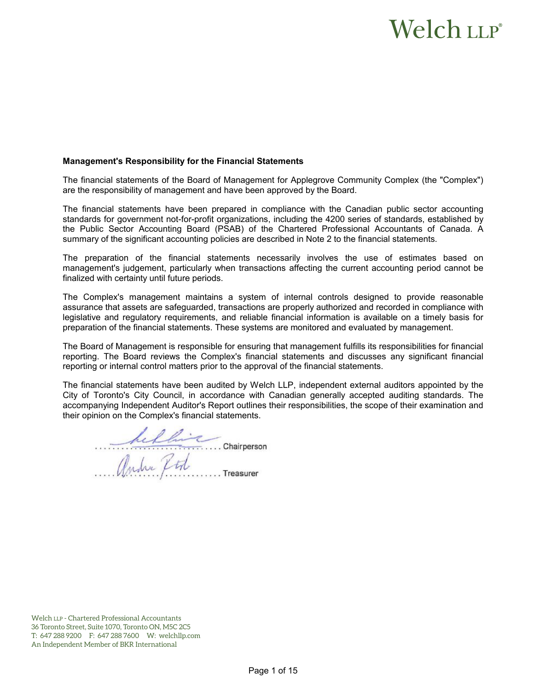# Welch LLP®

#### **Management's Responsibility for the Financial Statements**

The financial statements of the Board of Management for Applegrove Community Complex (the "Complex") are the responsibility of management and have been approved by the Board.

The financial statements have been prepared in compliance with the Canadian public sector accounting standards for government not-for-profit organizations, including the 4200 series of standards, established by the Public Sector Accounting Board (PSAB) of the Chartered Professional Accountants of Canada. A summary of the significant accounting policies are described in Note 2 to the financial statements.

The preparation of the financial statements necessarily involves the use of estimates based on management's judgement, particularly when transactions affecting the current accounting period cannot be finalized with certainty until future periods.

The Complex's management maintains a system of internal controls designed to provide reasonable assurance that assets are safeguarded, transactions are properly authorized and recorded in compliance with legislative and regulatory requirements, and reliable financial information is available on a timely basis for preparation of the financial statements. These systems are monitored and evaluated by management.

The Board of Management is responsible for ensuring that management fulfills its responsibilities for financial reporting. The Board reviews the Complex's financial statements and discusses any significant financial reporting or internal control matters prior to the approval of the financial statements.

The financial statements have been audited by Welch LLP, independent external auditors appointed by the City of Toronto's City Council, in accordance with Canadian generally accepted auditing standards. The accompanying Independent Auditor's Report outlines their responsibilities, the scope of their examination and their opinion on the Complex's financial statements.

hellie Chairperson<br>Andre ftd Treasurer

Welch LLP - Chartered Professional Accountants 36 Toronto Street, Suite 1070, Toronto ON, M5C 2C5 T: 647 288 9200 F: 647 288 7600 W: welchllp.com An Independent Member of BKR International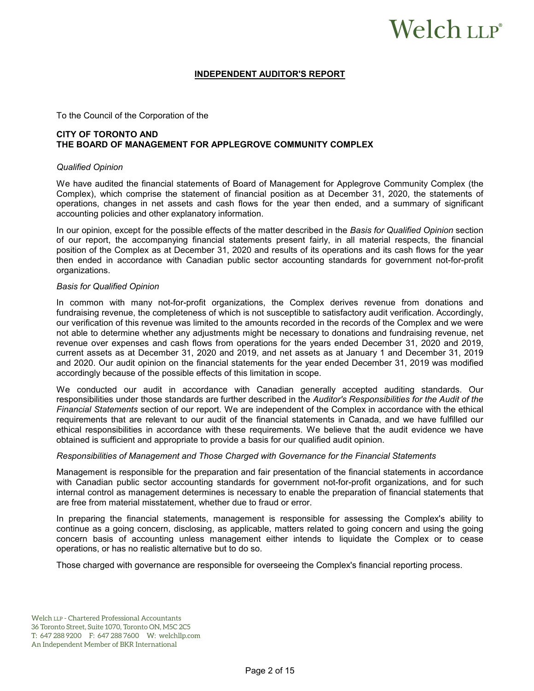# Welch LLP®

#### **INDEPENDENT AUDITOR'S REPORT**

#### To the Council of the Corporation of the

# **CITY OF TORONTO AND THE BOARD OF MANAGEMENT FOR APPLEGROVE COMMUNITY COMPLEX**

#### *Qualified Opinion*

We have audited the financial statements of Board of Management for Applegrove Community Complex (the Complex), which comprise the statement of financial position as at December 31, 2020, the statements of operations, changes in net assets and cash flows for the year then ended, and a summary of significant accounting policies and other explanatory information.

In our opinion, except for the possible effects of the matter described in the *Basis for Qualified Opinion* section of our report, the accompanying financial statements present fairly, in all material respects, the financial position of the Complex as at December 31, 2020 and results of its operations and its cash flows for the year then ended in accordance with Canadian public sector accounting standards for government not-for-profit organizations.

#### *Basis for Qualified Opinion*

In common with many not-for-profit organizations, the Complex derives revenue from donations and fundraising revenue, the completeness of which is not susceptible to satisfactory audit verification. Accordingly, our verification of this revenue was limited to the amounts recorded in the records of the Complex and we were not able to determine whether any adjustments might be necessary to donations and fundraising revenue, net revenue over expenses and cash flows from operations for the years ended December 31, 2020 and 2019, current assets as at December 31, 2020 and 2019, and net assets as at January 1 and December 31, 2019 and 2020. Our audit opinion on the financial statements for the year ended December 31, 2019 was modified accordingly because of the possible effects of this limitation in scope.

We conducted our audit in accordance with Canadian generally accepted auditing standards. Our responsibilities under those standards are further described in the *Auditor's Responsibilities for the Audit of the Financial Statements* section of our report. We are independent of the Complex in accordance with the ethical requirements that are relevant to our audit of the financial statements in Canada, and we have fulfilled our ethical responsibilities in accordance with these requirements. We believe that the audit evidence we have obtained is sufficient and appropriate to provide a basis for our qualified audit opinion.

#### *Responsibilities of Management and Those Charged with Governance for the Financial Statements*

Management is responsible for the preparation and fair presentation of the financial statements in accordance with Canadian public sector accounting standards for government not-for-profit organizations, and for such internal control as management determines is necessary to enable the preparation of financial statements that are free from material misstatement, whether due to fraud or error.

In preparing the financial statements, management is responsible for assessing the Complex's ability to continue as a going concern, disclosing, as applicable, matters related to going concern and using the going concern basis of accounting unless management either intends to liquidate the Complex or to cease operations, or has no realistic alternative but to do so.

Those charged with governance are responsible for overseeing the Complex's financial reporting process.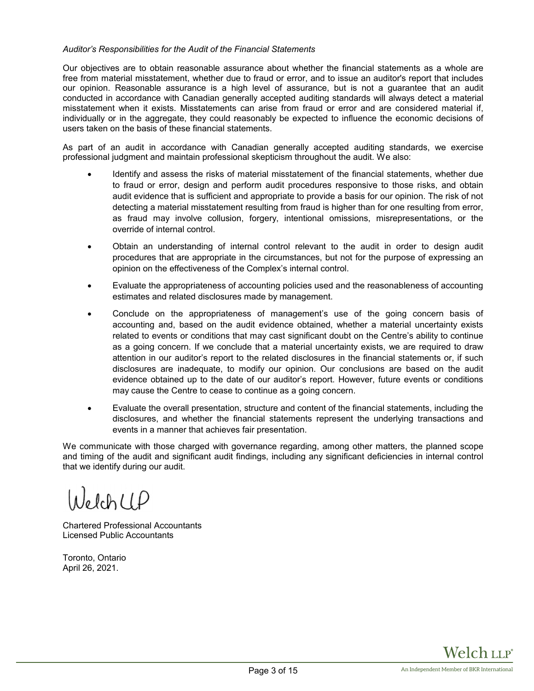## *Auditor's Responsibilities for the Audit of the Financial Statements*

Our objectives are to obtain reasonable assurance about whether the financial statements as a whole are free from material misstatement, whether due to fraud or error, and to issue an auditor's report that includes our opinion. Reasonable assurance is a high level of assurance, but is not a guarantee that an audit conducted in accordance with Canadian generally accepted auditing standards will always detect a material misstatement when it exists. Misstatements can arise from fraud or error and are considered material if, individually or in the aggregate, they could reasonably be expected to influence the economic decisions of users taken on the basis of these financial statements.

As part of an audit in accordance with Canadian generally accepted auditing standards, we exercise professional judgment and maintain professional skepticism throughout the audit. We also:

- Identify and assess the risks of material misstatement of the financial statements, whether due to fraud or error, design and perform audit procedures responsive to those risks, and obtain audit evidence that is sufficient and appropriate to provide a basis for our opinion. The risk of not detecting a material misstatement resulting from fraud is higher than for one resulting from error, as fraud may involve collusion, forgery, intentional omissions, misrepresentations, or the override of internal control.
- Obtain an understanding of internal control relevant to the audit in order to design audit procedures that are appropriate in the circumstances, but not for the purpose of expressing an opinion on the effectiveness of the Complex's internal control.
- Evaluate the appropriateness of accounting policies used and the reasonableness of accounting estimates and related disclosures made by management.
- Conclude on the appropriateness of management's use of the going concern basis of accounting and, based on the audit evidence obtained, whether a material uncertainty exists related to events or conditions that may cast significant doubt on the Centre's ability to continue as a going concern. If we conclude that a material uncertainty exists, we are required to draw attention in our auditor's report to the related disclosures in the financial statements or, if such disclosures are inadequate, to modify our opinion. Our conclusions are based on the audit evidence obtained up to the date of our auditor's report. However, future events or conditions may cause the Centre to cease to continue as a going concern.
- Evaluate the overall presentation, structure and content of the financial statements, including the disclosures, and whether the financial statements represent the underlying transactions and events in a manner that achieves fair presentation.

We communicate with those charged with governance regarding, among other matters, the planned scope and timing of the audit and significant audit findings, including any significant deficiencies in internal control that we identify during our audit.

 $NelchUP$ 

Chartered Professional Accountants Licensed Public Accountants

Toronto, Ontario April 26, 2021.

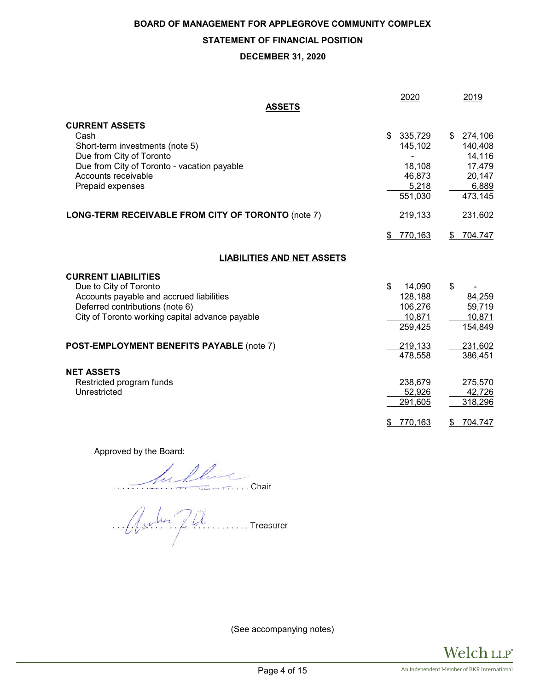# **STATEMENT OF FINANCIAL POSITION**

#### **DECEMBER 31, 2020**

| ASSETS                                                                                                                                                                                 | 2020                                                             | 2019                                                                   |
|----------------------------------------------------------------------------------------------------------------------------------------------------------------------------------------|------------------------------------------------------------------|------------------------------------------------------------------------|
| <b>CURRENT ASSETS</b><br>Cash<br>Short-term investments (note 5)<br>Due from City of Toronto<br>Due from City of Toronto - vacation payable<br>Accounts receivable<br>Prepaid expenses | 335,729<br>\$<br>145,102<br>18,108<br>46,873<br>5,218<br>551,030 | \$274,106<br>140,408<br>14,116<br>17,479<br>20,147<br>6,889<br>473,145 |
| LONG-TERM RECEIVABLE FROM CITY OF TORONTO (note 7)                                                                                                                                     | 219,133                                                          | 231,602                                                                |
|                                                                                                                                                                                        | 770,163<br>\$                                                    | 704,747<br>\$                                                          |
| <b>LIABILITIES AND NET ASSETS</b>                                                                                                                                                      |                                                                  |                                                                        |
| <b>CURRENT LIABILITIES</b><br>Due to City of Toronto<br>Accounts payable and accrued liabilities<br>Deferred contributions (note 6)<br>City of Toronto working capital advance payable | \$<br>14,090<br>128,188<br>106,276<br>10,871<br>259,425          | $\boldsymbol{\mathsf{s}}$<br>84,259<br>59,719<br>10,871<br>154,849     |
| POST-EMPLOYMENT BENEFITS PAYABLE (note 7)                                                                                                                                              | 219,133<br>478,558                                               | 231,602<br>386,451                                                     |
| <b>NET ASSETS</b><br>Restricted program funds<br>Unrestricted                                                                                                                          | 238,679<br>52,926<br>291,605<br>770,163<br>\$                    | 275,570<br>42,726<br>318,296<br>704,747<br>\$                          |

Approved by the Board:

Julling

Asulus Pil

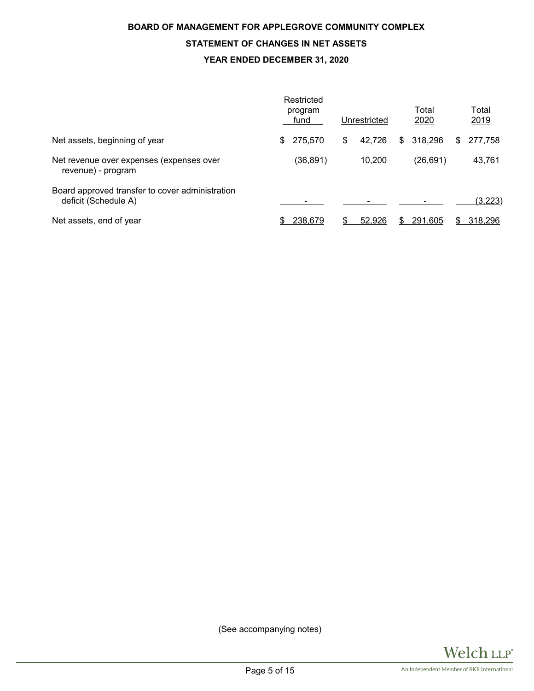# **BOARD OF MANAGEMENT FOR APPLEGROVE COMMUNITY COMPLEX STATEMENT OF CHANGES IN NET ASSETS YEAR ENDED DECEMBER 31, 2020**

|                                                                         | Restricted<br>program<br>fund |    | Unrestricted | Total<br>2020 |    | Total<br>2019 |
|-------------------------------------------------------------------------|-------------------------------|----|--------------|---------------|----|---------------|
| Net assets, beginning of year                                           | \$<br>275,570                 | \$ | 42,726       | \$<br>318,296 | S  | 277,758       |
| Net revenue over expenses (expenses over<br>revenue) - program          | (36,891)                      |    | 10,200       | (26,691)      |    | 43,761        |
| Board approved transfer to cover administration<br>deficit (Schedule A) |                               |    |              |               |    | (3,223)       |
| Net assets, end of year                                                 | 238,679                       | S  | 52,926       | 291,605       | æ. | 318,296       |

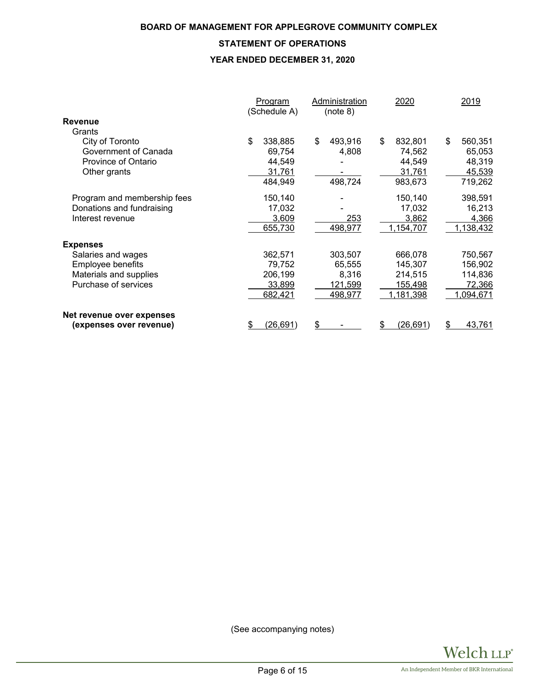# **STATEMENT OF OPERATIONS**

# **YEAR ENDED DECEMBER 31, 2020**

|                             | <b>Program</b><br>(Schedule A) | Administration<br>(note 8) | 2020          | 2019          |
|-----------------------------|--------------------------------|----------------------------|---------------|---------------|
| <b>Revenue</b>              |                                |                            |               |               |
| Grants                      |                                |                            |               |               |
| City of Toronto             | \$<br>338,885                  | \$<br>493,916              | \$<br>832,801 | \$<br>560,351 |
| Government of Canada        | 69,754                         | 4,808                      | 74,562        | 65,053        |
| Province of Ontario         | 44,549                         |                            | 44,549        | 48,319        |
| Other grants                | 31,761                         |                            | 31,761        | 45,539        |
|                             | 484,949                        | 498,724                    | 983,673       | 719,262       |
| Program and membership fees | 150,140                        |                            | 150,140       | 398,591       |
| Donations and fundraising   | 17,032                         |                            | 17,032        | 16,213        |
| Interest revenue            | 3,609                          | 253                        | 3,862         | 4,366         |
|                             | 655,730                        | 498,977                    | 1,154,707     | 1,138,432     |
| <b>Expenses</b>             |                                |                            |               |               |
| Salaries and wages          | 362,571                        | 303,507                    | 666,078       | 750,567       |
| Employee benefits           | 79,752                         | 65,555                     | 145,307       | 156,902       |
| Materials and supplies      | 206,199                        | 8,316                      | 214,515       | 114,836       |
| Purchase of services        | 33,899                         | 121,599                    | 155,498       | 72,366        |
|                             | 682,421                        | 498,977                    | 1,181,398     | 1,094,671     |
| Net revenue over expenses   |                                |                            |               |               |
| (expenses over revenue)     | (26, 691)<br>\$                | \$                         | (26,691)<br>S | 43,761<br>S   |

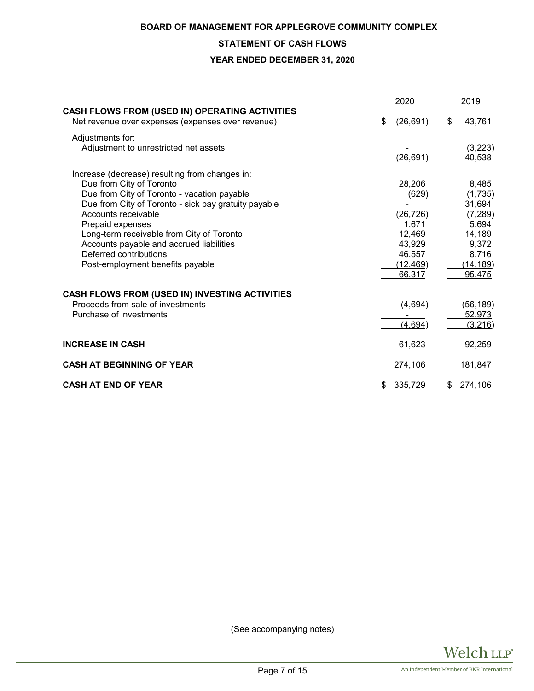# **STATEMENT OF CASH FLOWS**

**YEAR ENDED DECEMBER 31, 2020**

|                                                                                                     | 2020            | 2019          |
|-----------------------------------------------------------------------------------------------------|-----------------|---------------|
| CASH FLOWS FROM (USED IN) OPERATING ACTIVITIES<br>Net revenue over expenses (expenses over revenue) | \$<br>(26, 691) | \$<br>43,761  |
| Adjustments for:                                                                                    |                 |               |
| Adjustment to unrestricted net assets                                                               |                 | (3,223)       |
|                                                                                                     | (26, 691)       | 40,538        |
| Increase (decrease) resulting from changes in:                                                      |                 |               |
| Due from City of Toronto                                                                            | 28,206          | 8,485         |
| Due from City of Toronto - vacation payable                                                         | (629)           | (1,735)       |
| Due from City of Toronto - sick pay gratuity payable                                                |                 | 31,694        |
| Accounts receivable                                                                                 | (26, 726)       | (7, 289)      |
| Prepaid expenses                                                                                    | 1,671           | 5,694         |
| Long-term receivable from City of Toronto                                                           | 12,469          | 14,189        |
| Accounts payable and accrued liabilities                                                            | 43,929          | 9,372         |
| Deferred contributions                                                                              | 46,557          | 8,716         |
| Post-employment benefits payable                                                                    | (12, 469)       | (14, 189)     |
|                                                                                                     | 66,317          | 95,475        |
| CASH FLOWS FROM (USED IN) INVESTING ACTIVITIES                                                      |                 |               |
| Proceeds from sale of investments                                                                   | (4,694)         | (56, 189)     |
| Purchase of investments                                                                             |                 | 52,973        |
|                                                                                                     | (4,694)         | (3,216)       |
| <b>INCREASE IN CASH</b>                                                                             | 61,623          | 92,259        |
| <b>CASH AT BEGINNING OF YEAR</b>                                                                    | 274,106         | 181,847       |
| <b>CASH AT END OF YEAR</b>                                                                          | \$<br>335,729   | \$<br>274,106 |

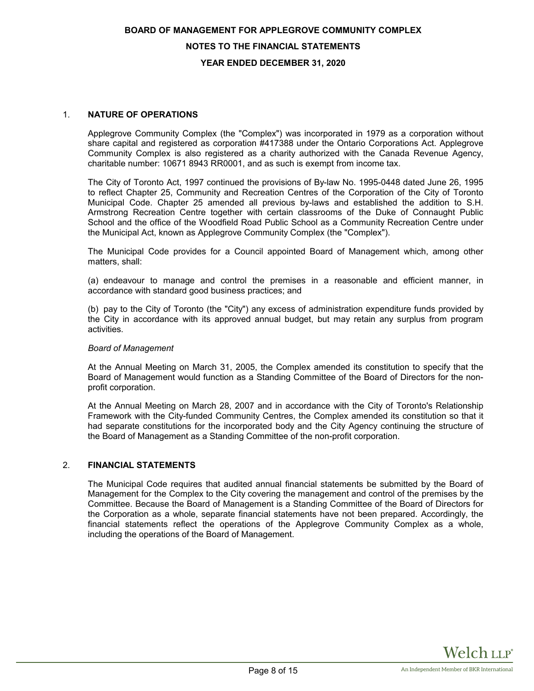#### **NOTES TO THE FINANCIAL STATEMENTS**

#### **YEAR ENDED DECEMBER 31, 2020**

#### 1. **NATURE OF OPERATIONS**

Applegrove Community Complex (the "Complex") was incorporated in 1979 as a corporation without share capital and registered as corporation #417388 under the Ontario Corporations Act. Applegrove Community Complex is also registered as a charity authorized with the Canada Revenue Agency, charitable number: 10671 8943 RR0001, and as such is exempt from income tax.

The City of Toronto Act, 1997 continued the provisions of By-law No. 1995-0448 dated June 26, 1995 to reflect Chapter 25, Community and Recreation Centres of the Corporation of the City of Toronto Municipal Code. Chapter 25 amended all previous by-laws and established the addition to S.H. Armstrong Recreation Centre together with certain classrooms of the Duke of Connaught Public School and the office of the Woodfield Road Public School as a Community Recreation Centre under the Municipal Act, known as Applegrove Community Complex (the "Complex").

The Municipal Code provides for a Council appointed Board of Management which, among other matters, shall:

(a) endeavour to manage and control the premises in a reasonable and efficient manner, in accordance with standard good business practices; and

(b) pay to the City of Toronto (the "City") any excess of administration expenditure funds provided by the City in accordance with its approved annual budget, but may retain any surplus from program activities.

#### *Board of Management*

At the Annual Meeting on March 31, 2005, the Complex amended its constitution to specify that the Board of Management would function as a Standing Committee of the Board of Directors for the nonprofit corporation.

At the Annual Meeting on March 28, 2007 and in accordance with the City of Toronto's Relationship Framework with the City-funded Community Centres, the Complex amended its constitution so that it had separate constitutions for the incorporated body and the City Agency continuing the structure of the Board of Management as a Standing Committee of the non-profit corporation.

#### 2. **FINANCIAL STATEMENTS**

The Municipal Code requires that audited annual financial statements be submitted by the Board of Management for the Complex to the City covering the management and control of the premises by the Committee. Because the Board of Management is a Standing Committee of the Board of Directors for the Corporation as a whole, separate financial statements have not been prepared. Accordingly, the financial statements reflect the operations of the Applegrove Community Complex as a whole, including the operations of the Board of Management.

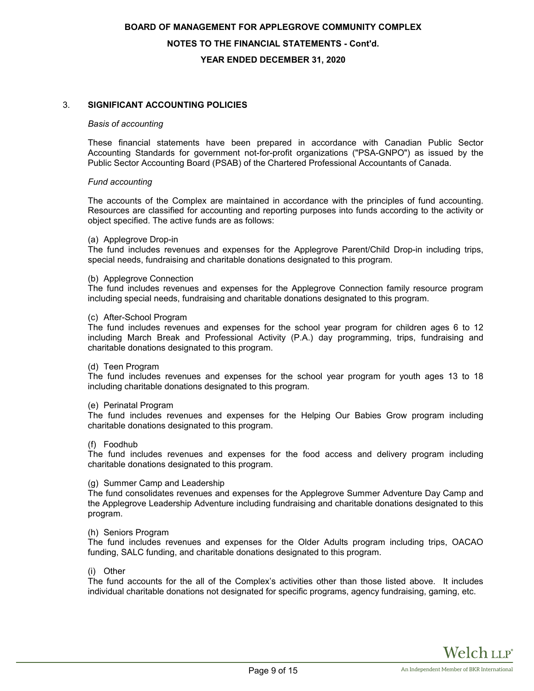# **BOARD OF MANAGEMENT FOR APPLEGROVE COMMUNITY COMPLEX NOTES TO THE FINANCIAL STATEMENTS - Cont'd. YEAR ENDED DECEMBER 31, 2020**

## 3. **SIGNIFICANT ACCOUNTING POLICIES**

#### *Basis of accounting*

These financial statements have been prepared in accordance with Canadian Public Sector Accounting Standards for government not-for-profit organizations ("PSA-GNPO") as issued by the Public Sector Accounting Board (PSAB) of the Chartered Professional Accountants of Canada.

#### *Fund accounting*

The accounts of the Complex are maintained in accordance with the principles of fund accounting. Resources are classified for accounting and reporting purposes into funds according to the activity or object specified. The active funds are as follows:

#### (a) Applegrove Drop-in

The fund includes revenues and expenses for the Applegrove Parent/Child Drop-in including trips, special needs, fundraising and charitable donations designated to this program.

#### (b) Applegrove Connection

The fund includes revenues and expenses for the Applegrove Connection family resource program including special needs, fundraising and charitable donations designated to this program.

#### (c) After-School Program

The fund includes revenues and expenses for the school year program for children ages 6 to 12 including March Break and Professional Activity (P.A.) day programming, trips, fundraising and charitable donations designated to this program.

#### (d) Teen Program

The fund includes revenues and expenses for the school year program for youth ages 13 to 18 including charitable donations designated to this program.

#### (e) Perinatal Program

The fund includes revenues and expenses for the Helping Our Babies Grow program including charitable donations designated to this program.

#### (f) Foodhub

The fund includes revenues and expenses for the food access and delivery program including charitable donations designated to this program.

#### (g) Summer Camp and Leadership

The fund consolidates revenues and expenses for the Applegrove Summer Adventure Day Camp and the Applegrove Leadership Adventure including fundraising and charitable donations designated to this program.

#### (h) Seniors Program

The fund includes revenues and expenses for the Older Adults program including trips, OACAO funding, SALC funding, and charitable donations designated to this program.

#### (i) Other

The fund accounts for the all of the Complex's activities other than those listed above. It includes individual charitable donations not designated for specific programs, agency fundraising, gaming, etc.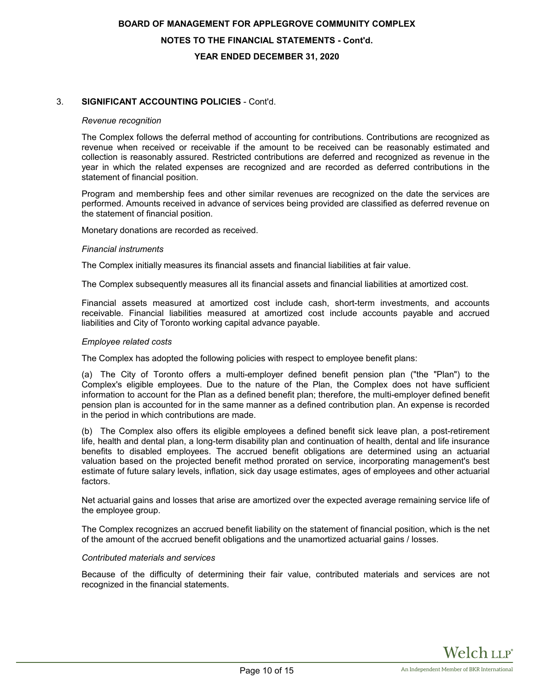# **BOARD OF MANAGEMENT FOR APPLEGROVE COMMUNITY COMPLEX NOTES TO THE FINANCIAL STATEMENTS - Cont'd. YEAR ENDED DECEMBER 31, 2020**

# 3. **SIGNIFICANT ACCOUNTING POLICIES** - Cont'd.

#### *Revenue recognition*

The Complex follows the deferral method of accounting for contributions. Contributions are recognized as revenue when received or receivable if the amount to be received can be reasonably estimated and collection is reasonably assured. Restricted contributions are deferred and recognized as revenue in the year in which the related expenses are recognized and are recorded as deferred contributions in the statement of financial position.

Program and membership fees and other similar revenues are recognized on the date the services are performed. Amounts received in advance of services being provided are classified as deferred revenue on the statement of financial position.

Monetary donations are recorded as received.

#### *Financial instruments*

The Complex initially measures its financial assets and financial liabilities at fair value.

The Complex subsequently measures all its financial assets and financial liabilities at amortized cost.

Financial assets measured at amortized cost include cash, short-term investments, and accounts receivable. Financial liabilities measured at amortized cost include accounts payable and accrued liabilities and City of Toronto working capital advance payable.

#### *Employee related costs*

The Complex has adopted the following policies with respect to employee benefit plans:

(a) The City of Toronto offers a multi-employer defined benefit pension plan ("the "Plan") to the Complex's eligible employees. Due to the nature of the Plan, the Complex does not have sufficient information to account for the Plan as a defined benefit plan; therefore, the multi-employer defined benefit pension plan is accounted for in the same manner as a defined contribution plan. An expense is recorded in the period in which contributions are made.

(b) The Complex also offers its eligible employees a defined benefit sick leave plan, a post-retirement life, health and dental plan, a long-term disability plan and continuation of health, dental and life insurance benefits to disabled employees. The accrued benefit obligations are determined using an actuarial valuation based on the projected benefit method prorated on service, incorporating management's best estimate of future salary levels, inflation, sick day usage estimates, ages of employees and other actuarial factors.

Net actuarial gains and losses that arise are amortized over the expected average remaining service life of the employee group.

The Complex recognizes an accrued benefit liability on the statement of financial position, which is the net of the amount of the accrued benefit obligations and the unamortized actuarial gains / losses.

#### *Contributed materials and services*

Because of the difficulty of determining their fair value, contributed materials and services are not recognized in the financial statements.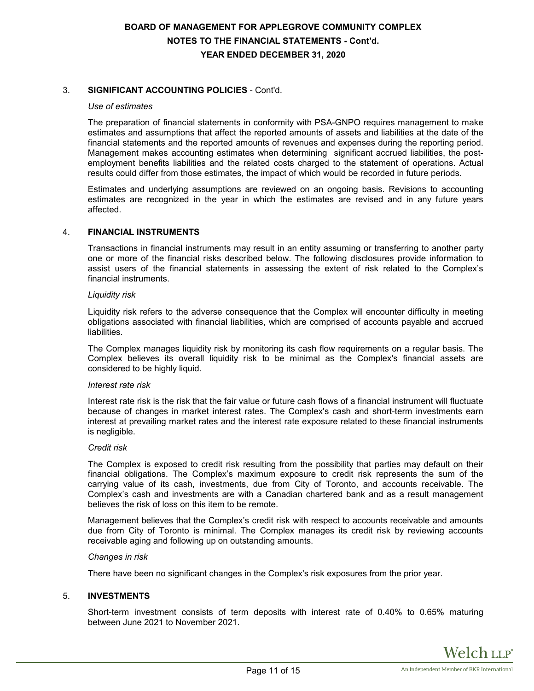# **BOARD OF MANAGEMENT FOR APPLEGROVE COMMUNITY COMPLEX NOTES TO THE FINANCIAL STATEMENTS - Cont'd. YEAR ENDED DECEMBER 31, 2020**

# 3. **SIGNIFICANT ACCOUNTING POLICIES** - Cont'd.

#### *Use of estimates*

The preparation of financial statements in conformity with PSA-GNPO requires management to make estimates and assumptions that affect the reported amounts of assets and liabilities at the date of the financial statements and the reported amounts of revenues and expenses during the reporting period. Management makes accounting estimates when determining significant accrued liabilities, the postemployment benefits liabilities and the related costs charged to the statement of operations. Actual results could differ from those estimates, the impact of which would be recorded in future periods.

Estimates and underlying assumptions are reviewed on an ongoing basis. Revisions to accounting estimates are recognized in the year in which the estimates are revised and in any future years affected.

#### 4. **FINANCIAL INSTRUMENTS**

Transactions in financial instruments may result in an entity assuming or transferring to another party one or more of the financial risks described below. The following disclosures provide information to assist users of the financial statements in assessing the extent of risk related to the Complex's financial instruments.

#### *Liquidity risk*

Liquidity risk refers to the adverse consequence that the Complex will encounter difficulty in meeting obligations associated with financial liabilities, which are comprised of accounts payable and accrued liabilities.

The Complex manages liquidity risk by monitoring its cash flow requirements on a regular basis. The Complex believes its overall liquidity risk to be minimal as the Complex's financial assets are considered to be highly liquid.

#### *Interest rate risk*

Interest rate risk is the risk that the fair value or future cash flows of a financial instrument will fluctuate because of changes in market interest rates. The Complex's cash and short-term investments earn interest at prevailing market rates and the interest rate exposure related to these financial instruments is negligible.

#### *Credit risk*

The Complex is exposed to credit risk resulting from the possibility that parties may default on their financial obligations. The Complex's maximum exposure to credit risk represents the sum of the carrying value of its cash, investments, due from City of Toronto, and accounts receivable. The Complex's cash and investments are with a Canadian chartered bank and as a result management believes the risk of loss on this item to be remote.

Management believes that the Complex's credit risk with respect to accounts receivable and amounts due from City of Toronto is minimal. The Complex manages its credit risk by reviewing accounts receivable aging and following up on outstanding amounts.

#### *Changes in risk*

There have been no significant changes in the Complex's risk exposures from the prior year.

# 5. **INVESTMENTS**

Short-term investment consists of term deposits with interest rate of 0.40% to 0.65% maturing between June 2021 to November 2021.

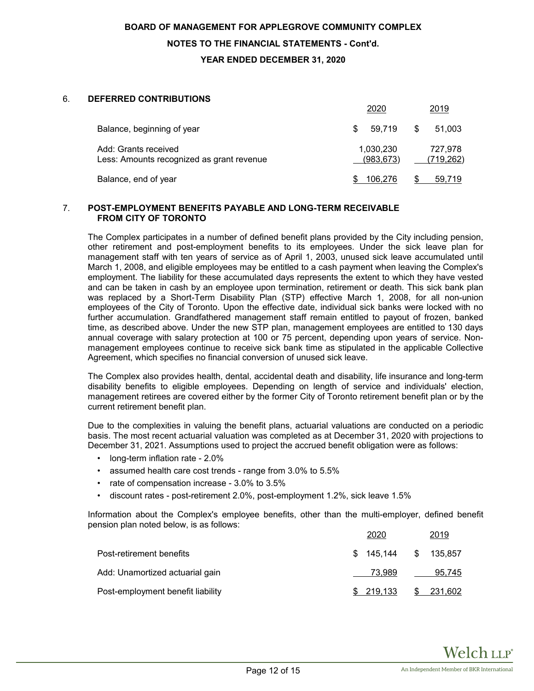# **NOTES TO THE FINANCIAL STATEMENTS - Cont'd.**

**YEAR ENDED DECEMBER 31, 2020**

#### 6. **DEFERRED CONTRIBUTIONS**

|                                                                   | 2020                    | 2019                  |
|-------------------------------------------------------------------|-------------------------|-----------------------|
| Balance, beginning of year                                        | 59.719<br>S             | S<br>51.003           |
| Add: Grants received<br>Less: Amounts recognized as grant revenue | 1,030,230<br>(983, 673) | 727.978<br>(719, 262) |
| Balance, end of year                                              | 106.276                 | 59.719                |

#### 7. **POST-EMPLOYMENT BENEFITS PAYABLE AND LONG-TERM RECEIVABLE FROM CITY OF TORONTO**

The Complex participates in a number of defined benefit plans provided by the City including pension, other retirement and post-employment benefits to its employees. Under the sick leave plan for management staff with ten years of service as of April 1, 2003, unused sick leave accumulated until March 1, 2008, and eligible employees may be entitled to a cash payment when leaving the Complex's employment. The liability for these accumulated days represents the extent to which they have vested and can be taken in cash by an employee upon termination, retirement or death. This sick bank plan was replaced by a Short-Term Disability Plan (STP) effective March 1, 2008, for all non-union employees of the City of Toronto. Upon the effective date, individual sick banks were locked with no further accumulation. Grandfathered management staff remain entitled to payout of frozen, banked time, as described above. Under the new STP plan, management employees are entitled to 130 days annual coverage with salary protection at 100 or 75 percent, depending upon years of service. Nonmanagement employees continue to receive sick bank time as stipulated in the applicable Collective Agreement, which specifies no financial conversion of unused sick leave.

The Complex also provides health, dental, accidental death and disability, life insurance and long-term disability benefits to eligible employees. Depending on length of service and individuals' election, management retirees are covered either by the former City of Toronto retirement benefit plan or by the current retirement benefit plan.

Due to the complexities in valuing the benefit plans, actuarial valuations are conducted on a periodic basis. The most recent actuarial valuation was completed as at December 31, 2020 with projections to December 31, 2021. Assumptions used to project the accrued benefit obligation were as follows:

- long-term inflation rate 2.0%
- assumed health care cost trends range from 3.0% to 5.5%
- rate of compensation increase 3.0% to 3.5%
- discount rates post-retirement 2.0%, post-employment 1.2%, sick leave 1.5%

Information about the Complex's employee benefits, other than the multi-employer, defined benefit pension plan noted below, is as follows:

|                                   | 2020                  | 2019       |
|-----------------------------------|-----------------------|------------|
| Post-retirement benefits          | \$ 145.144 \$ 135.857 |            |
| Add: Unamortized actuarial gain   | 73.989                | 95.745     |
| Post-employment benefit liability | \$ 219.133            | \$ 231,602 |

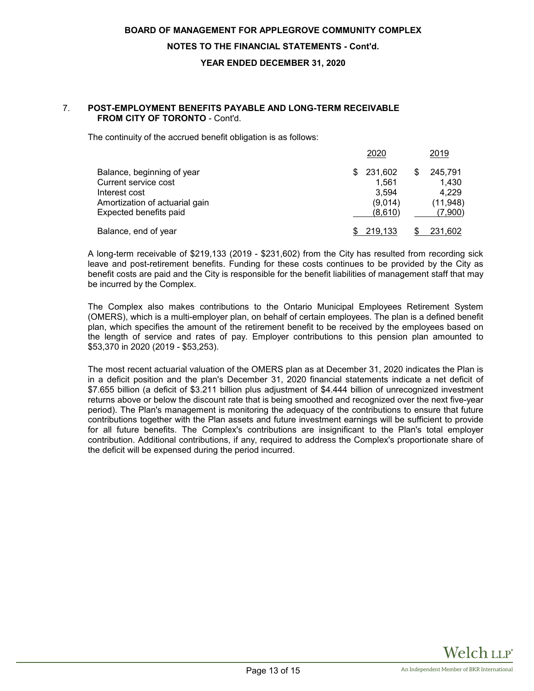#### **NOTES TO THE FINANCIAL STATEMENTS - Cont'd.**

#### **YEAR ENDED DECEMBER 31, 2020**

#### 7. **POST-EMPLOYMENT BENEFITS PAYABLE AND LONG-TERM RECEIVABLE FROM CITY OF TORONTO** - Cont'd.

The continuity of the accrued benefit obligation is as follows:

|                                                                                                                                 | 2020                                                   | 2019                                                    |
|---------------------------------------------------------------------------------------------------------------------------------|--------------------------------------------------------|---------------------------------------------------------|
| Balance, beginning of year<br>Current service cost<br>Interest cost<br>Amortization of actuarial gain<br>Expected benefits paid | 231,602<br>\$.<br>1.561<br>3.594<br>(9,014)<br>(8,610) | \$<br>245.791<br>1,430<br>4.229<br>(11, 948)<br>(7,900) |
| Balance, end of year                                                                                                            | 219.133                                                | 231,602                                                 |

A long-term receivable of \$219,133 (2019 - \$231,602) from the City has resulted from recording sick leave and post-retirement benefits. Funding for these costs continues to be provided by the City as benefit costs are paid and the City is responsible for the benefit liabilities of management staff that may be incurred by the Complex.

The Complex also makes contributions to the Ontario Municipal Employees Retirement System (OMERS), which is a multi-employer plan, on behalf of certain employees. The plan is a defined benefit plan, which specifies the amount of the retirement benefit to be received by the employees based on the length of service and rates of pay. Employer contributions to this pension plan amounted to \$53,370 in 2020 (2019 - \$53,253).

The most recent actuarial valuation of the OMERS plan as at December 31, 2020 indicates the Plan is in a deficit position and the plan's December 31, 2020 financial statements indicate a net deficit of \$7.655 billion (a deficit of \$3.211 billion plus adjustment of \$4.444 billion of unrecognized investment returns above or below the discount rate that is being smoothed and recognized over the next five-year period). The Plan's management is monitoring the adequacy of the contributions to ensure that future contributions together with the Plan assets and future investment earnings will be sufficient to provide for all future benefits. The Complex's contributions are insignificant to the Plan's total employer contribution. Additional contributions, if any, required to address the Complex's proportionate share of the deficit will be expensed during the period incurred.

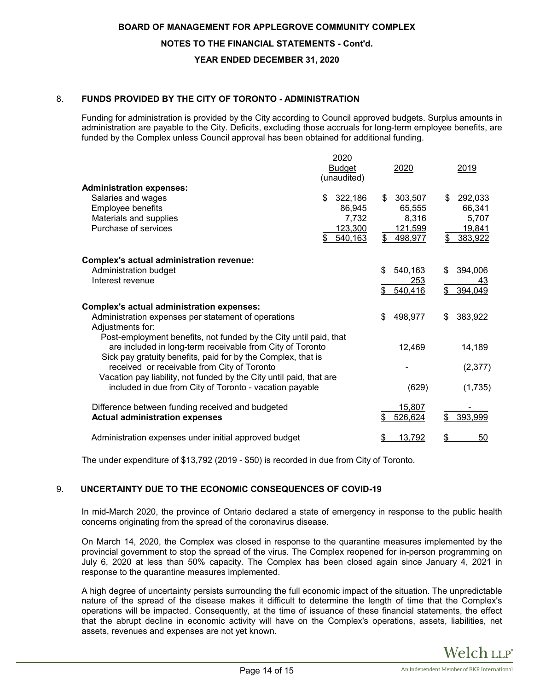# **NOTES TO THE FINANCIAL STATEMENTS - Cont'd.**

# **YEAR ENDED DECEMBER 31, 2020**

# 8. **FUNDS PROVIDED BY THE CITY OF TORONTO - ADMINISTRATION**

Funding for administration is provided by the City according to Council approved budgets. Surplus amounts in administration are payable to the City. Deficits, excluding those accruals for long-term employee benefits, are funded by the Complex unless Council approval has been obtained for additional funding.

| <b>Administration expenses:</b>                                                                                                              | 2020<br><b>Budget</b><br>(unaudited)                   | 2020                                                                | 2019                                                        |
|----------------------------------------------------------------------------------------------------------------------------------------------|--------------------------------------------------------|---------------------------------------------------------------------|-------------------------------------------------------------|
| Salaries and wages<br>Employee benefits<br>Materials and supplies<br>Purchase of services                                                    | \$<br>322,186<br>86,945<br>7,732<br>123,300<br>540,163 | 303,507<br>\$<br>65,555<br>8,316<br><u>121,599</u><br>\$<br>498,977 | 292,033<br>\$<br>66,341<br>5,707<br>19,841<br>\$<br>383,922 |
| <b>Complex's actual administration revenue:</b>                                                                                              |                                                        |                                                                     |                                                             |
| Administration budget                                                                                                                        |                                                        | 540,163<br>\$                                                       | 394,006<br>\$                                               |
| Interest revenue                                                                                                                             |                                                        | <u> 253</u><br>540,416<br>\$                                        | <u>43</u><br>\$<br>394,049                                  |
| Complex's actual administration expenses:                                                                                                    |                                                        |                                                                     |                                                             |
| Administration expenses per statement of operations<br>Adjustments for:<br>Post-employment benefits, not funded by the City until paid, that |                                                        | 498,977<br>\$                                                       | \$<br>383,922                                               |
| are included in long-term receivable from City of Toronto<br>Sick pay gratuity benefits, paid for by the Complex, that is                    |                                                        | 12,469                                                              | 14,189                                                      |
| received or receivable from City of Toronto                                                                                                  |                                                        |                                                                     | (2, 377)                                                    |
| Vacation pay liability, not funded by the City until paid, that are<br>included in due from City of Toronto - vacation payable               |                                                        | (629)                                                               | (1,735)                                                     |
| Difference between funding received and budgeted<br><b>Actual administration expenses</b>                                                    |                                                        | 15,807<br>526,624<br>\$                                             | 393,999<br>\$                                               |
| Administration expenses under initial approved budget                                                                                        |                                                        | 13,792<br>\$                                                        | \$<br>50                                                    |

The under expenditure of \$13,792 (2019 - \$50) is recorded in due from City of Toronto.

# 9. **UNCERTAINTY DUE TO THE ECONOMIC CONSEQUENCES OF COVID-19**

In mid-March 2020, the province of Ontario declared a state of emergency in response to the public health concerns originating from the spread of the coronavirus disease.

On March 14, 2020, the Complex was closed in response to the quarantine measures implemented by the provincial government to stop the spread of the virus. The Complex reopened for in-person programming on July 6, 2020 at less than 50% capacity. The Complex has been closed again since January 4, 2021 in response to the quarantine measures implemented.

A high degree of uncertainty persists surrounding the full economic impact of the situation. The unpredictable nature of the spread of the disease makes it difficult to determine the length of time that the Complex's operations will be impacted. Consequently, at the time of issuance of these financial statements, the effect that the abrupt decline in economic activity will have on the Complex's operations, assets, liabilities, net assets, revenues and expenses are not yet known.